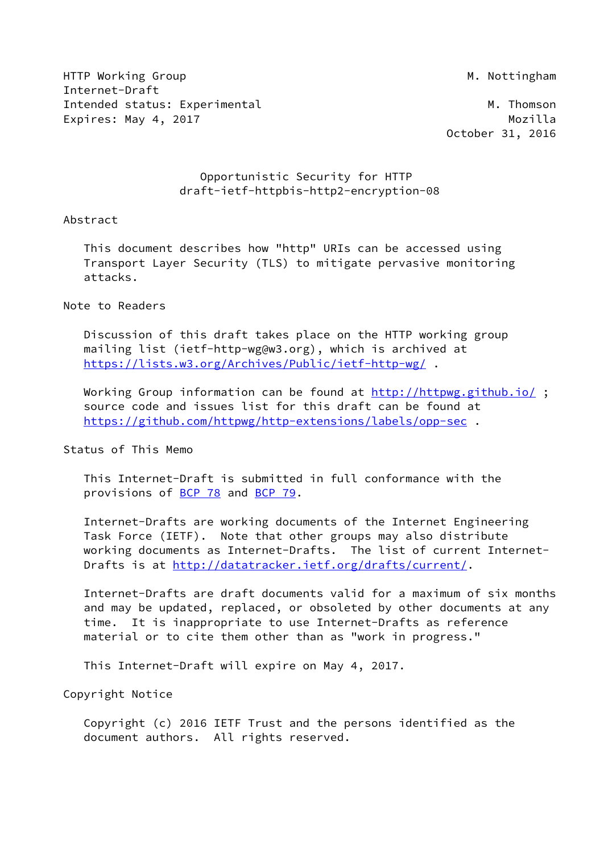HTTP Working Group and the state of the state of the state of the M. Nottingham Internet-Draft Intended status: Experimental M. Thomson Expires: May 4, 2017 and the contract of the Mozilla

October 31, 2016

# Opportunistic Security for HTTP draft-ietf-httpbis-http2-encryption-08

# Abstract

 This document describes how "http" URIs can be accessed using Transport Layer Security (TLS) to mitigate pervasive monitoring attacks.

# Note to Readers

 Discussion of this draft takes place on the HTTP working group mailing list (ietf-http-wg@w3.org), which is archived at <https://lists.w3.org/Archives/Public/ietf-http-wg/> .

Working Group information can be found at<http://httpwg.github.io/>; source code and issues list for this draft can be found at <https://github.com/httpwg/http-extensions/labels/opp-sec> .

# Status of This Memo

 This Internet-Draft is submitted in full conformance with the provisions of [BCP 78](https://datatracker.ietf.org/doc/pdf/bcp78) and [BCP 79](https://datatracker.ietf.org/doc/pdf/bcp79).

 Internet-Drafts are working documents of the Internet Engineering Task Force (IETF). Note that other groups may also distribute working documents as Internet-Drafts. The list of current Internet- Drafts is at<http://datatracker.ietf.org/drafts/current/>.

 Internet-Drafts are draft documents valid for a maximum of six months and may be updated, replaced, or obsoleted by other documents at any time. It is inappropriate to use Internet-Drafts as reference material or to cite them other than as "work in progress."

This Internet-Draft will expire on May 4, 2017.

Copyright Notice

 Copyright (c) 2016 IETF Trust and the persons identified as the document authors. All rights reserved.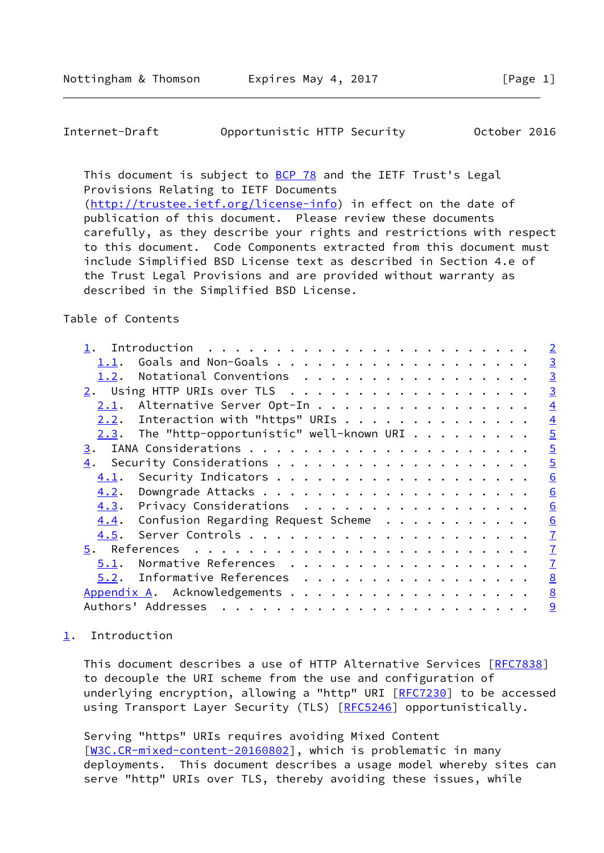### <span id="page-1-1"></span>Internet-Draft Opportunistic HTTP Security October 2016

This document is subject to [BCP 78](https://datatracker.ietf.org/doc/pdf/bcp78) and the IETF Trust's Legal Provisions Relating to IETF Documents

 [\(http://trustee.ietf.org/license-info](http://trustee.ietf.org/license-info)) in effect on the date of publication of this document. Please review these documents carefully, as they describe your rights and restrictions with respect to this document. Code Components extracted from this document must include Simplified BSD License text as described in Section 4.e of the Trust Legal Provisions and are provided without warranty as described in the Simplified BSD License.

# Table of Contents

|                                                    |  |  |  | $\overline{2}$  |
|----------------------------------------------------|--|--|--|-----------------|
| 1.1.                                               |  |  |  | $\overline{3}$  |
| Notational Conventions<br>1.2.                     |  |  |  | $\overline{3}$  |
| 2. Using HTTP URIs over TLS                        |  |  |  | $\overline{3}$  |
| Alternative Server Opt-In<br>2.1.                  |  |  |  | $\overline{4}$  |
| $2.2.$ Interaction with "https" URIs               |  |  |  | $\overline{4}$  |
| $2.3$ . The "http-opportunistic" well-known URI    |  |  |  | $\overline{5}$  |
| 3.                                                 |  |  |  | $\overline{5}$  |
| 4.                                                 |  |  |  | $\overline{5}$  |
| 4.1.                                               |  |  |  | 6               |
| 4.2.                                               |  |  |  | 6               |
| Privacy Considerations<br>4.3.                     |  |  |  | 6               |
| Confusion Regarding Request Scheme<br><u>4.4</u> . |  |  |  | $\underline{6}$ |
| 4.5.                                               |  |  |  | $\overline{1}$  |
|                                                    |  |  |  | $\overline{1}$  |
| Normative References<br>5.1.                       |  |  |  | $\overline{1}$  |
| 5.2. Informative References                        |  |  |  | $\underline{8}$ |
| Appendix A. Acknowledgements                       |  |  |  | 8               |
| Authors' Addresses                                 |  |  |  | 9               |

# <span id="page-1-0"></span>[1](#page-1-0). Introduction

This document describes a use of HTTP Alternative Services [[RFC7838\]](https://datatracker.ietf.org/doc/pdf/rfc7838) to decouple the URI scheme from the use and configuration of underlying encryption, allowing a "http" URI [\[RFC7230](https://datatracker.ietf.org/doc/pdf/rfc7230)] to be accessed using Transport Layer Security (TLS) [\[RFC5246](https://datatracker.ietf.org/doc/pdf/rfc5246)] opportunistically.

 Serving "https" URIs requires avoiding Mixed Content [\[W3C.CR-mixed-content-20160802](#page-8-2)], which is problematic in many deployments. This document describes a usage model whereby sites can serve "http" URIs over TLS, thereby avoiding these issues, while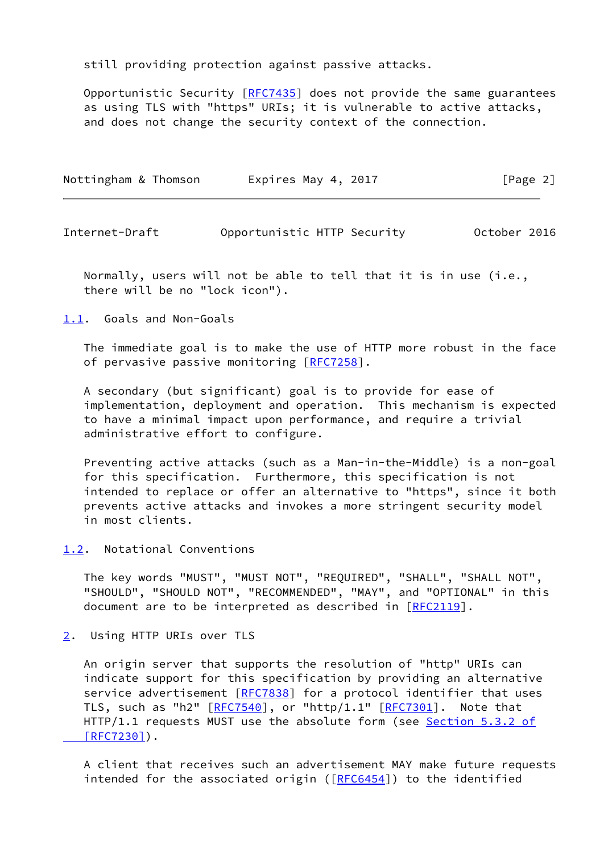still providing protection against passive attacks.

 Opportunistic Security [\[RFC7435](https://datatracker.ietf.org/doc/pdf/rfc7435)] does not provide the same guarantees as using TLS with "https" URIs; it is vulnerable to active attacks, and does not change the security context of the connection.

| Nottingham & Thomson | Expires May 4, 2017 | [Page 2] |
|----------------------|---------------------|----------|
|                      |                     |          |

<span id="page-2-1"></span>Internet-Draft Opportunistic HTTP Security October 2016

 Normally, users will not be able to tell that it is in use (i.e., there will be no "lock icon").

<span id="page-2-0"></span>[1.1](#page-2-0). Goals and Non-Goals

 The immediate goal is to make the use of HTTP more robust in the face of pervasive passive monitoring [\[RFC7258](https://datatracker.ietf.org/doc/pdf/rfc7258)].

 A secondary (but significant) goal is to provide for ease of implementation, deployment and operation. This mechanism is expected to have a minimal impact upon performance, and require a trivial administrative effort to configure.

 Preventing active attacks (such as a Man-in-the-Middle) is a non-goal for this specification. Furthermore, this specification is not intended to replace or offer an alternative to "https", since it both prevents active attacks and invokes a more stringent security model in most clients.

<span id="page-2-2"></span>[1.2](#page-2-2). Notational Conventions

 The key words "MUST", "MUST NOT", "REQUIRED", "SHALL", "SHALL NOT", "SHOULD", "SHOULD NOT", "RECOMMENDED", "MAY", and "OPTIONAL" in this document are to be interpreted as described in [\[RFC2119](https://datatracker.ietf.org/doc/pdf/rfc2119)].

<span id="page-2-3"></span>[2](#page-2-3). Using HTTP URIs over TLS

 An origin server that supports the resolution of "http" URIs can indicate support for this specification by providing an alternative service advertisement [[RFC7838](https://datatracker.ietf.org/doc/pdf/rfc7838)] for a protocol identifier that uses TLS, such as "h2" [[RFC7540](https://datatracker.ietf.org/doc/pdf/rfc7540)], or "http/1.1" [[RFC7301\]](https://datatracker.ietf.org/doc/pdf/rfc7301). Note that HTTP/1.1 requests MUST use the absolute form (see Section [5.3.2 of](https://datatracker.ietf.org/doc/pdf/rfc7230#section-5.3.2)  [\[RFC7230\]](https://datatracker.ietf.org/doc/pdf/rfc7230#section-5.3.2)).

 A client that receives such an advertisement MAY make future requests intended for the associated origin ( $[REC6454]$ ) to the identified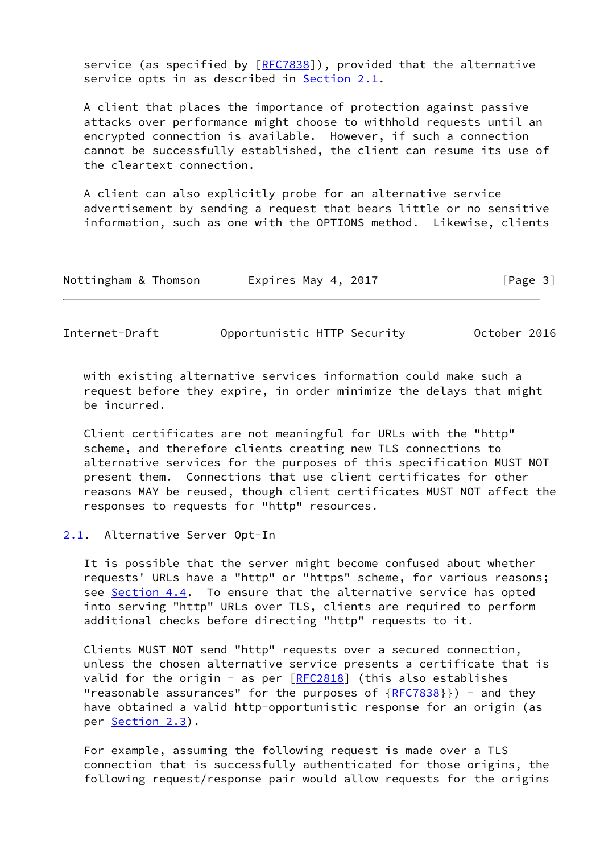service (as specified by  $[REC7838]$ ), provided that the alternative service opts in as described in [Section 2.1](#page-3-0).

 A client that places the importance of protection against passive attacks over performance might choose to withhold requests until an encrypted connection is available. However, if such a connection cannot be successfully established, the client can resume its use of the cleartext connection.

 A client can also explicitly probe for an alternative service advertisement by sending a request that bears little or no sensitive information, such as one with the OPTIONS method. Likewise, clients

| Nottingham & Thomson | Expires May 4, 2017 | [Page 3] |
|----------------------|---------------------|----------|
|----------------------|---------------------|----------|

<span id="page-3-1"></span>Internet-Draft Opportunistic HTTP Security October 2016

 with existing alternative services information could make such a request before they expire, in order minimize the delays that might be incurred.

 Client certificates are not meaningful for URLs with the "http" scheme, and therefore clients creating new TLS connections to alternative services for the purposes of this specification MUST NOT present them. Connections that use client certificates for other reasons MAY be reused, though client certificates MUST NOT affect the responses to requests for "http" resources.

<span id="page-3-0"></span>[2.1](#page-3-0). Alternative Server Opt-In

 It is possible that the server might become confused about whether requests' URLs have a "http" or "https" scheme, for various reasons; see [Section 4.4.](#page-6-1) To ensure that the alternative service has opted into serving "http" URLs over TLS, clients are required to perform additional checks before directing "http" requests to it.

 Clients MUST NOT send "http" requests over a secured connection, unless the chosen alternative service presents a certificate that is valid for the origin - as per  $[REC2818]$  (this also establishes "reasonable assurances" for the purposes of  ${RFC7838}}$  ${RFC7838}}$ ) - and they have obtained a valid http-opportunistic response for an origin (as per [Section 2.3\)](#page-4-1).

 For example, assuming the following request is made over a TLS connection that is successfully authenticated for those origins, the following request/response pair would allow requests for the origins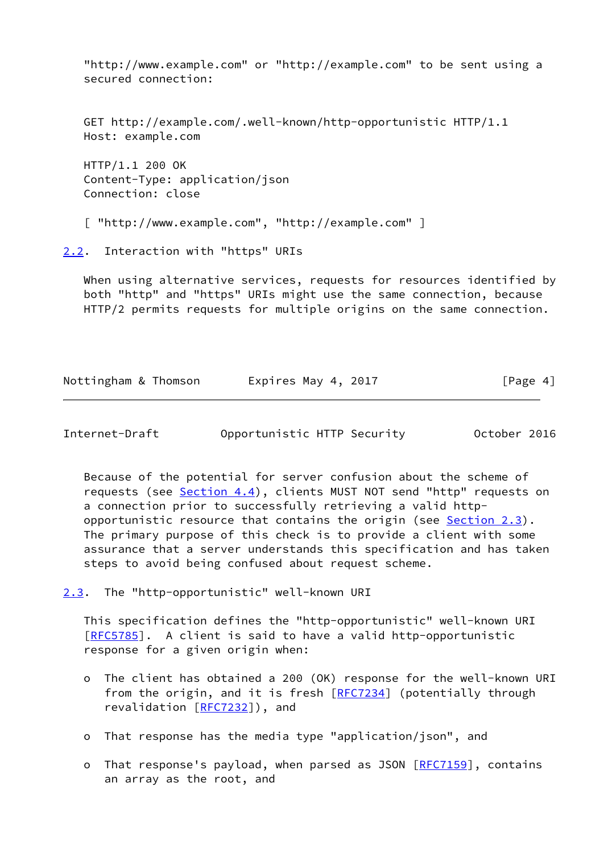"http://www.example.com" or "http://example.com" to be sent using a secured connection:

 GET http://example.com/.well-known/http-opportunistic HTTP/1.1 Host: example.com

 HTTP/1.1 200 OK Content-Type: application/json Connection: close

[ "http://www.example.com", "http://example.com" ]

<span id="page-4-0"></span>[2.2](#page-4-0). Interaction with "https" URIs

When using alternative services, requests for resources identified by both "http" and "https" URIs might use the same connection, because HTTP/2 permits requests for multiple origins on the same connection.

| Nottingham & Thomson | Expires May 4, 2017 | [Page 4] |
|----------------------|---------------------|----------|
|                      |                     |          |

<span id="page-4-2"></span>

| Internet-Draft | Opportunistic HTTP Security |  | October 2016 |  |
|----------------|-----------------------------|--|--------------|--|
|                |                             |  |              |  |

 Because of the potential for server confusion about the scheme of requests (see [Section 4.4](#page-6-1)), clients MUST NOT send "http" requests on a connection prior to successfully retrieving a valid http opportunistic resource that contains the origin (see [Section 2.3](#page-4-1)). The primary purpose of this check is to provide a client with some assurance that a server understands this specification and has taken steps to avoid being confused about request scheme.

<span id="page-4-1"></span>[2.3](#page-4-1). The "http-opportunistic" well-known URI

 This specification defines the "http-opportunistic" well-known URI [\[RFC5785](https://datatracker.ietf.org/doc/pdf/rfc5785)]. A client is said to have a valid http-opportunistic response for a given origin when:

- o The client has obtained a 200 (OK) response for the well-known URI from the origin, and it is fresh [\[RFC7234](https://datatracker.ietf.org/doc/pdf/rfc7234)] (potentially through revalidation [\[RFC7232](https://datatracker.ietf.org/doc/pdf/rfc7232)]), and
- o That response has the media type "application/json", and
- o That response's payload, when parsed as JSON [\[RFC7159](https://datatracker.ietf.org/doc/pdf/rfc7159)], contains an array as the root, and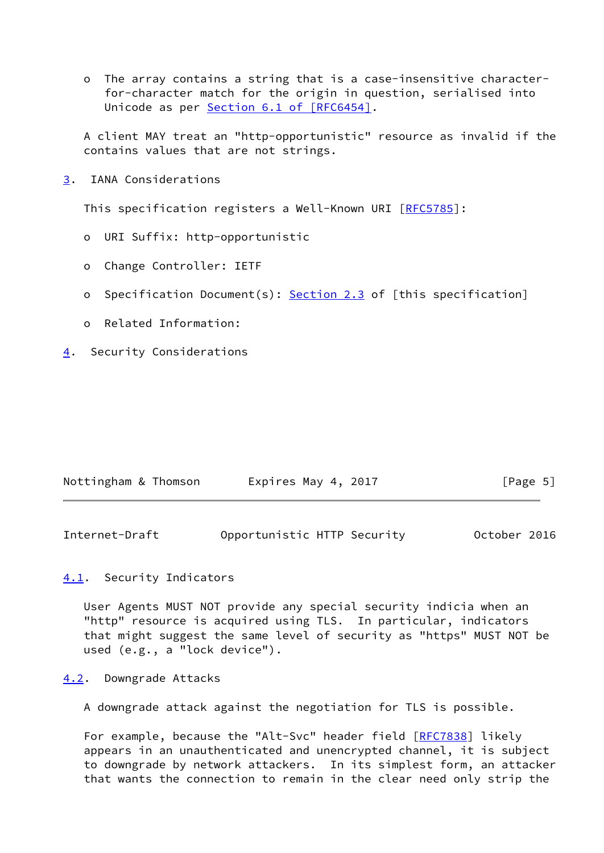o The array contains a string that is a case-insensitive character for-character match for the origin in question, serialised into Unicode as per Section [6.1 of \[RFC6454\]](https://datatracker.ietf.org/doc/pdf/rfc6454#section-6.1).

 A client MAY treat an "http-opportunistic" resource as invalid if the contains values that are not strings.

<span id="page-5-0"></span>[3](#page-5-0). IANA Considerations

This specification registers a Well-Known URI [[RFC5785](https://datatracker.ietf.org/doc/pdf/rfc5785)]:

- o URI Suffix: http-opportunistic
- o Change Controller: IETF
- o Specification Document(s): [Section 2.3](#page-4-1) of [this specification]
- o Related Information:
- <span id="page-5-1"></span>[4](#page-5-1). Security Considerations

| Nottingham & Thomson | Expires May 4, 2017 | [Page 5] |
|----------------------|---------------------|----------|
|----------------------|---------------------|----------|

<span id="page-5-3"></span>

| Internet-Draft | Opportunistic HTTP Security |  | October 2016 |
|----------------|-----------------------------|--|--------------|
|----------------|-----------------------------|--|--------------|

# <span id="page-5-2"></span>[4.1](#page-5-2). Security Indicators

 User Agents MUST NOT provide any special security indicia when an "http" resource is acquired using TLS. In particular, indicators that might suggest the same level of security as "https" MUST NOT be used (e.g., a "lock device").

### <span id="page-5-4"></span>[4.2](#page-5-4). Downgrade Attacks

A downgrade attack against the negotiation for TLS is possible.

For example, because the "Alt-Svc" header field [\[RFC7838](https://datatracker.ietf.org/doc/pdf/rfc7838)] likely appears in an unauthenticated and unencrypted channel, it is subject to downgrade by network attackers. In its simplest form, an attacker that wants the connection to remain in the clear need only strip the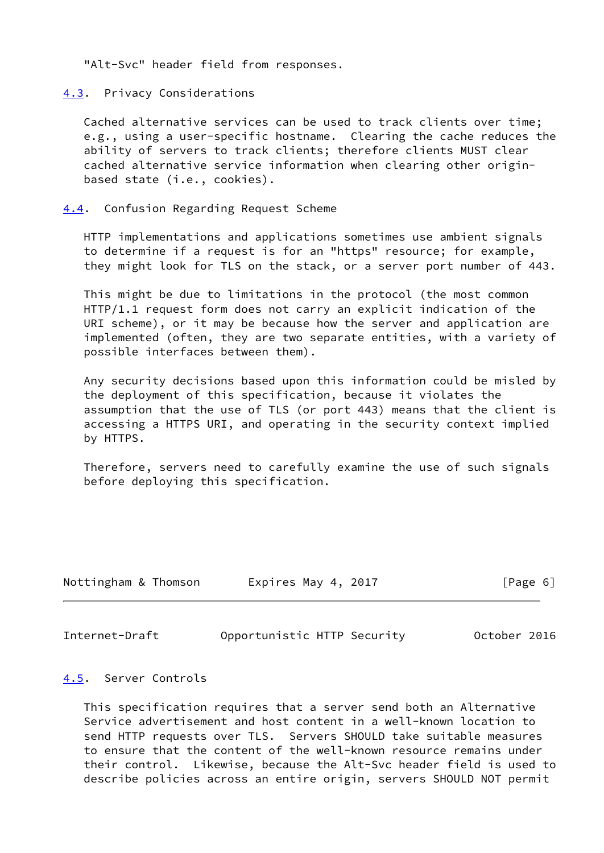"Alt-Svc" header field from responses.

<span id="page-6-0"></span>[4.3](#page-6-0). Privacy Considerations

 Cached alternative services can be used to track clients over time; e.g., using a user-specific hostname. Clearing the cache reduces the ability of servers to track clients; therefore clients MUST clear cached alternative service information when clearing other origin based state (i.e., cookies).

<span id="page-6-1"></span>[4.4](#page-6-1). Confusion Regarding Request Scheme

 HTTP implementations and applications sometimes use ambient signals to determine if a request is for an "https" resource; for example, they might look for TLS on the stack, or a server port number of 443.

 This might be due to limitations in the protocol (the most common HTTP/1.1 request form does not carry an explicit indication of the URI scheme), or it may be because how the server and application are implemented (often, they are two separate entities, with a variety of possible interfaces between them).

 Any security decisions based upon this information could be misled by the deployment of this specification, because it violates the assumption that the use of TLS (or port 443) means that the client is accessing a HTTPS URI, and operating in the security context implied by HTTPS.

 Therefore, servers need to carefully examine the use of such signals before deploying this specification.

| Nottingham & Thomson | Expires May 4, 2017 | [Page 6] |
|----------------------|---------------------|----------|
|                      |                     |          |

<span id="page-6-3"></span>Internet-Draft Opportunistic HTTP Security October 2016

#### <span id="page-6-2"></span>[4.5](#page-6-2). Server Controls

 This specification requires that a server send both an Alternative Service advertisement and host content in a well-known location to send HTTP requests over TLS. Servers SHOULD take suitable measures to ensure that the content of the well-known resource remains under their control. Likewise, because the Alt-Svc header field is used to describe policies across an entire origin, servers SHOULD NOT permit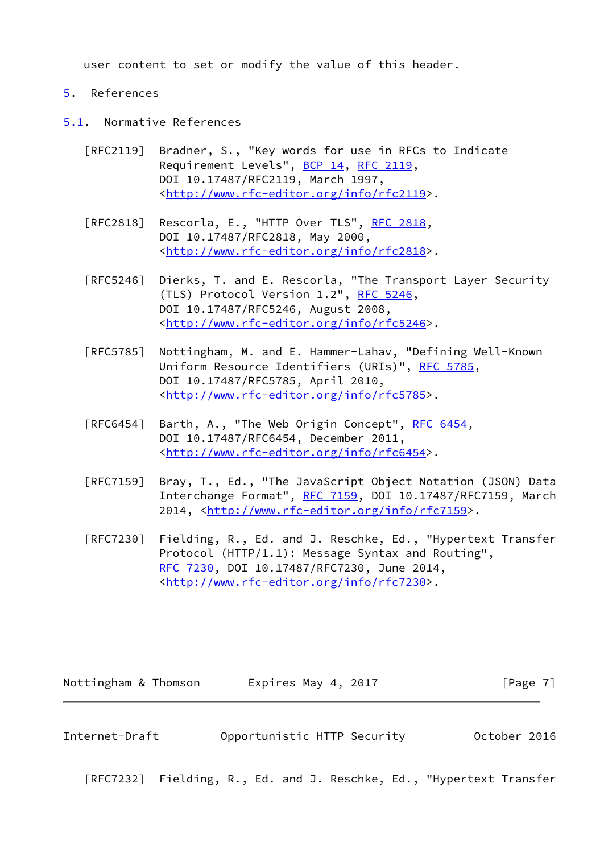user content to set or modify the value of this header.

#### <span id="page-7-0"></span>[5](#page-7-0). References

- <span id="page-7-1"></span>[5.1](#page-7-1). Normative References
	- [RFC2119] Bradner, S., "Key words for use in RFCs to Indicate Requirement Levels", [BCP 14](https://datatracker.ietf.org/doc/pdf/bcp14), [RFC 2119](https://datatracker.ietf.org/doc/pdf/rfc2119), DOI 10.17487/RFC2119, March 1997, <<http://www.rfc-editor.org/info/rfc2119>>.
	- [RFC2818] Rescorla, E., "HTTP Over TLS", [RFC 2818](https://datatracker.ietf.org/doc/pdf/rfc2818), DOI 10.17487/RFC2818, May 2000, <<http://www.rfc-editor.org/info/rfc2818>>.
	- [RFC5246] Dierks, T. and E. Rescorla, "The Transport Layer Security (TLS) Protocol Version 1.2", [RFC 5246](https://datatracker.ietf.org/doc/pdf/rfc5246), DOI 10.17487/RFC5246, August 2008, <<http://www.rfc-editor.org/info/rfc5246>>.
	- [RFC5785] Nottingham, M. and E. Hammer-Lahav, "Defining Well-Known Uniform Resource Identifiers (URIs)", [RFC 5785](https://datatracker.ietf.org/doc/pdf/rfc5785), DOI 10.17487/RFC5785, April 2010, <<http://www.rfc-editor.org/info/rfc5785>>.
	- [RFC6454] Barth, A., "The Web Origin Concept", [RFC 6454](https://datatracker.ietf.org/doc/pdf/rfc6454), DOI 10.17487/RFC6454, December 2011, <<http://www.rfc-editor.org/info/rfc6454>>.
	- [RFC7159] Bray, T., Ed., "The JavaScript Object Notation (JSON) Data Interchange Format", [RFC 7159](https://datatracker.ietf.org/doc/pdf/rfc7159), DOI 10.17487/RFC7159, March 2014, [<http://www.rfc-editor.org/info/rfc7159](http://www.rfc-editor.org/info/rfc7159)>.
	- [RFC7230] Fielding, R., Ed. and J. Reschke, Ed., "Hypertext Transfer Protocol (HTTP/1.1): Message Syntax and Routing", [RFC 7230,](https://datatracker.ietf.org/doc/pdf/rfc7230) DOI 10.17487/RFC7230, June 2014, <<http://www.rfc-editor.org/info/rfc7230>>.

Nottingham & Thomson **Expires May 4, 2017** [Page 7]

<span id="page-7-2"></span>Internet-Draft Opportunistic HTTP Security October 2016

[RFC7232] Fielding, R., Ed. and J. Reschke, Ed., "Hypertext Transfer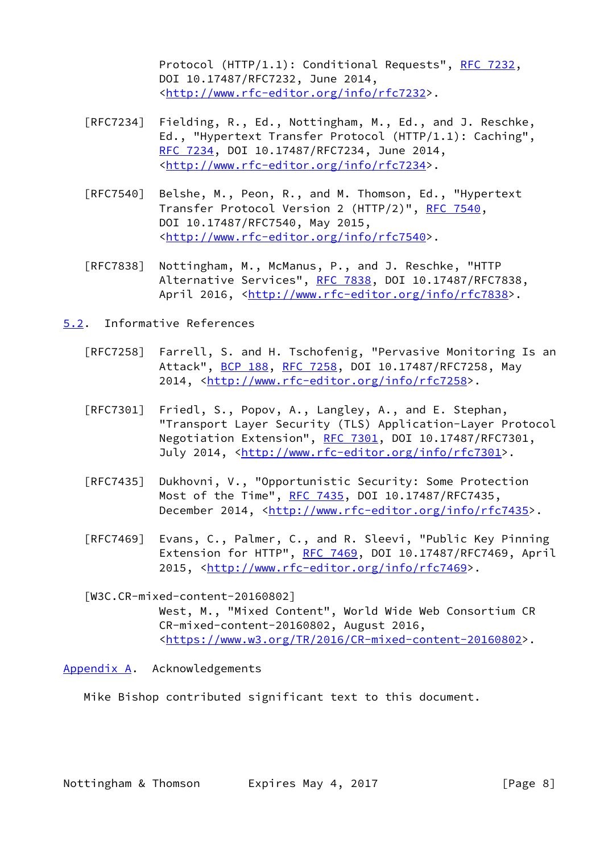Protocol (HTTP/1.1): Conditional Requests", [RFC 7232,](https://datatracker.ietf.org/doc/pdf/rfc7232) DOI 10.17487/RFC7232, June 2014, <<http://www.rfc-editor.org/info/rfc7232>>.

- [RFC7234] Fielding, R., Ed., Nottingham, M., Ed., and J. Reschke, Ed., "Hypertext Transfer Protocol (HTTP/1.1): Caching", [RFC 7234,](https://datatracker.ietf.org/doc/pdf/rfc7234) DOI 10.17487/RFC7234, June 2014, <<http://www.rfc-editor.org/info/rfc7234>>.
- [RFC7540] Belshe, M., Peon, R., and M. Thomson, Ed., "Hypertext Transfer Protocol Version 2 (HTTP/2)", [RFC 7540](https://datatracker.ietf.org/doc/pdf/rfc7540), DOI 10.17487/RFC7540, May 2015, <<http://www.rfc-editor.org/info/rfc7540>>.
- [RFC7838] Nottingham, M., McManus, P., and J. Reschke, "HTTP Alternative Services", [RFC 7838](https://datatracker.ietf.org/doc/pdf/rfc7838), DOI 10.17487/RFC7838, April 2016, [<http://www.rfc-editor.org/info/rfc7838](http://www.rfc-editor.org/info/rfc7838)>.
- <span id="page-8-0"></span>[5.2](#page-8-0). Informative References
	- [RFC7258] Farrell, S. and H. Tschofenig, "Pervasive Monitoring Is an Attack", [BCP 188,](https://datatracker.ietf.org/doc/pdf/bcp188) [RFC 7258](https://datatracker.ietf.org/doc/pdf/rfc7258), DOI 10.17487/RFC7258, May 2014, [<http://www.rfc-editor.org/info/rfc7258](http://www.rfc-editor.org/info/rfc7258)>.
	- [RFC7301] Friedl, S., Popov, A., Langley, A., and E. Stephan, "Transport Layer Security (TLS) Application-Layer Protocol Negotiation Extension", [RFC 7301,](https://datatracker.ietf.org/doc/pdf/rfc7301) DOI 10.17487/RFC7301, July 2014, <<http://www.rfc-editor.org/info/rfc7301>>.
	- [RFC7435] Dukhovni, V., "Opportunistic Security: Some Protection Most of the Time", [RFC 7435](https://datatracker.ietf.org/doc/pdf/rfc7435), DOI 10.17487/RFC7435, December 2014, <<http://www.rfc-editor.org/info/rfc7435>>.
	- [RFC7469] Evans, C., Palmer, C., and R. Sleevi, "Public Key Pinning Extension for HTTP", [RFC 7469](https://datatracker.ietf.org/doc/pdf/rfc7469), DOI 10.17487/RFC7469, April 2015, [<http://www.rfc-editor.org/info/rfc7469](http://www.rfc-editor.org/info/rfc7469)>.

<span id="page-8-2"></span> [W3C.CR-mixed-content-20160802] West, M., "Mixed Content", World Wide Web Consortium CR CR-mixed-content-20160802, August 2016, <[https://www.w3.org/TR/2016/CR-mixed-content-20160802>](https://www.w3.org/TR/2016/CR-mixed-content-20160802).

<span id="page-8-1"></span>[Appendix A.](#page-8-1) Acknowledgements

Mike Bishop contributed significant text to this document.